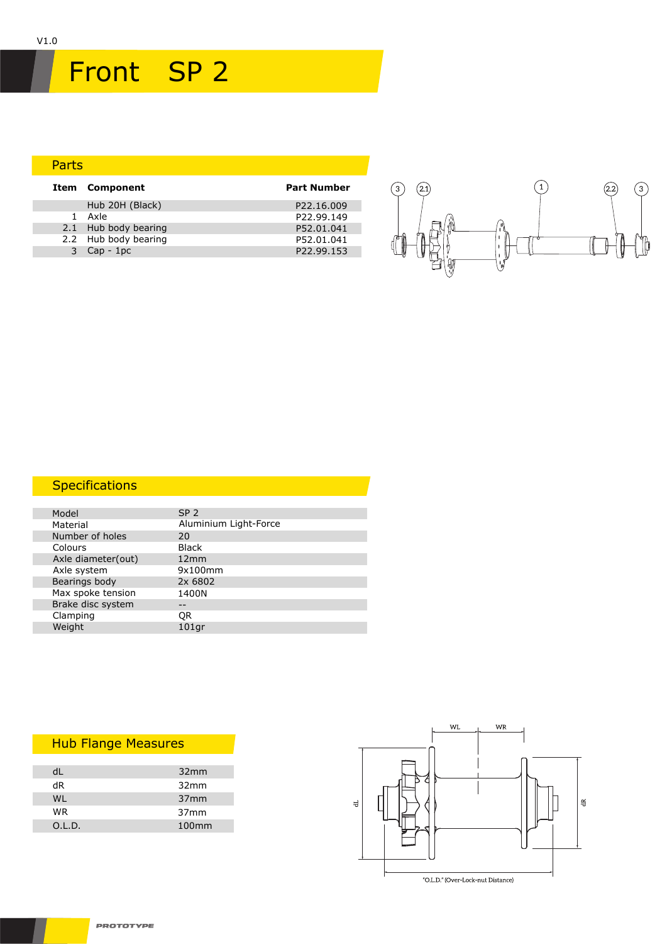# Front SP 2

#### Parts Hub 20H (Black) P22.16.009<br>1 Axle P22.99.149 P22.99.149<br>P52.01.041 2.1 Hub body bearing P52.01.041<br>2.2 Hub body bearing P52.01.041 2.2 Hub body bearing example and post-of-paying p52.01.041 3 Cap - 1pc P22.99.153 **Item Component Part Number**



### **Specifications**

| Model              | SP <sub>2</sub>       |
|--------------------|-----------------------|
| Material           | Aluminium Light-Force |
| Number of holes    | 20                    |
| Colours            | <b>Black</b>          |
| Axle diameter(out) | 12mm                  |
| Axle system        | 9x100mm               |
| Bearings body      | 2x 6802               |
| Max spoke tension  | 1400N                 |
| Brake disc system  |                       |
| Clamping           | 0R                    |
| Weight             | 101 <sub>qr</sub>     |
|                    |                       |

### Hub Flange Measures

| d١     | 32mm              |
|--------|-------------------|
| dR     | 32mm              |
| WI     | 37 <sub>mm</sub>  |
| WR     | 37 <sub>mm</sub>  |
| O.L.D. | 100 <sub>mm</sub> |